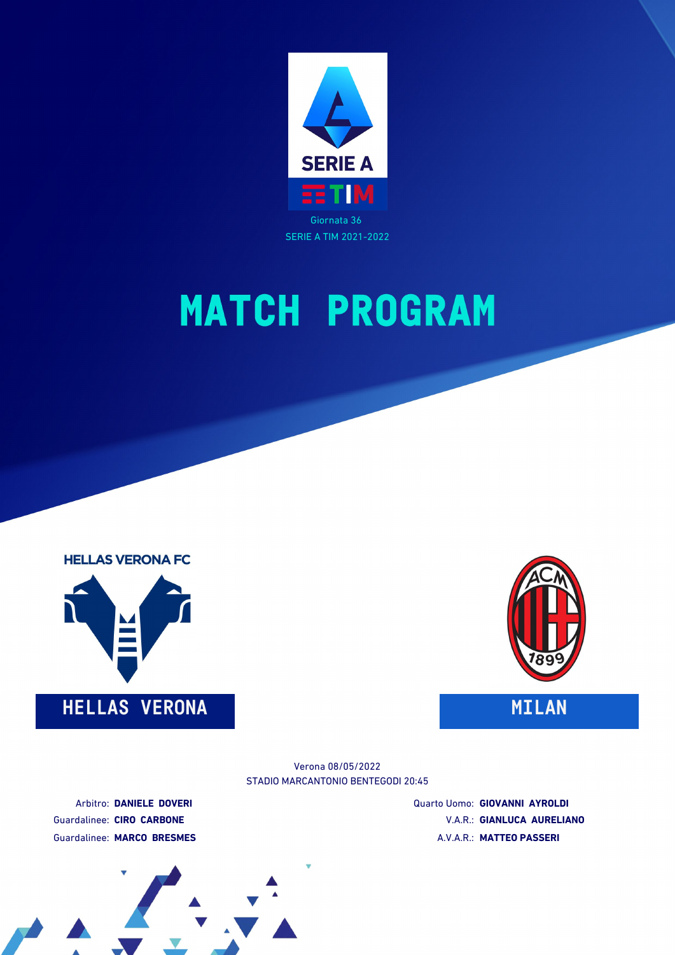







STADIO MARCANTONIO BENTEGODI 20:45 Verona 08/05/2022

Arbitro: **DANIELE DOVERI** Guardalinee: **CIRO CARBONE** Guardalinee: **MARCO BRESMES** Quarto Uomo: **GIOVANNI AYROLDI** V.A.R.: **GIANLUCA AURELIANO** A.V.A.R.: **MATTEO PASSERI**

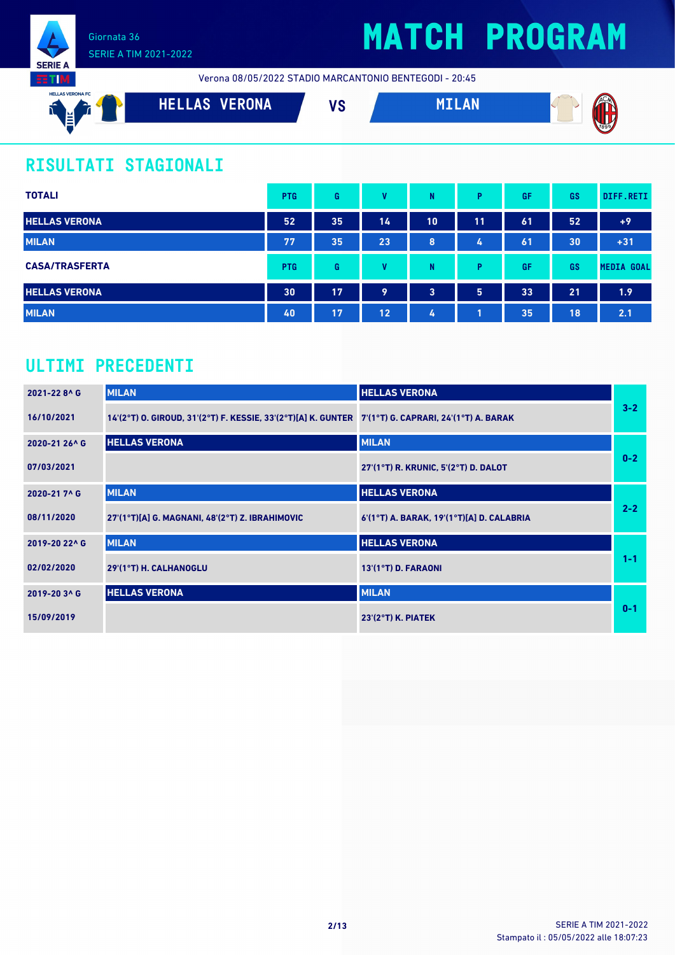

**SERIE A RTIM** 

Verona 08/05/2022 STADIO MARCANTONIO BENTEGODI - 20:45



## **RISULTATI STAGIONALI**

| <b>TOTALI</b>         | <b>PTG</b> | G  | v  | N                       | Þ              | GF | <b>GS</b> | DIFF.RETI         |
|-----------------------|------------|----|----|-------------------------|----------------|----|-----------|-------------------|
| <b>HELLAS VERONA</b>  | 52         | 35 | 14 | 10                      | 11             | 61 | 52        | $+9$              |
| <b>MILAN</b>          | 77         | 35 | 23 | 8                       | 4              | 61 | 30        | $+31$             |
| <b>CASA/TRASFERTA</b> | <b>PTG</b> | G  | v  | N                       | D              | GF | <b>GS</b> | <b>MEDIA GOAL</b> |
| <b>HELLAS VERONA</b>  | 30         | 17 | 9  | $\overline{\mathbf{3}}$ | 5 <sup>1</sup> | 33 | 21        | 1.9               |
| <b>MILAN</b>          | 40         | 17 | 12 | 4                       |                | 35 | 18        | 2.1               |

## **ULTIMI PRECEDENTI**

| 2021-228^G    | <b>MILAN</b>                                                                                        | <b>HELLAS VERONA</b>                      |         |
|---------------|-----------------------------------------------------------------------------------------------------|-------------------------------------------|---------|
| 16/10/2021    | 14'(2°T) O. GIROUD, 31'(2°T) F. KESSIE, 33'(2°T)[A] K. GUNTER 7'(1°T) G. CAPRARI, 24'(1°T) A. BARAK |                                           | $3-2$   |
| 2020-21 26^ G | <b>HELLAS VERONA</b>                                                                                | <b>MILAN</b>                              |         |
| 07/03/2021    |                                                                                                     | 27'(1°T) R. KRUNIC, 5'(2°T) D. DALOT      | $0-2$   |
| 2020-217^G    | <b>MILAN</b>                                                                                        | <b>HELLAS VERONA</b>                      |         |
| 08/11/2020    | 27'(1°T)[A] G. MAGNANI, 48'(2°T) Z. IBRAHIMOVIC                                                     | 6'(1°T) A. BARAK, 19'(1°T)[A] D. CALABRIA | $2 - 2$ |
| 2019-20 22^ G | <b>MILAN</b>                                                                                        | <b>HELLAS VERONA</b>                      |         |
| 02/02/2020    | 29'(1°T) H. CALHANOGLU                                                                              | 13'(1°T) D. FARAONI                       | $1 - 1$ |
| 2019-20 3^ G  | <b>HELLAS VERONA</b>                                                                                | <b>MILAN</b>                              |         |
| 15/09/2019    |                                                                                                     | $23'(2°T)$ K. PIATEK                      | $0 - 1$ |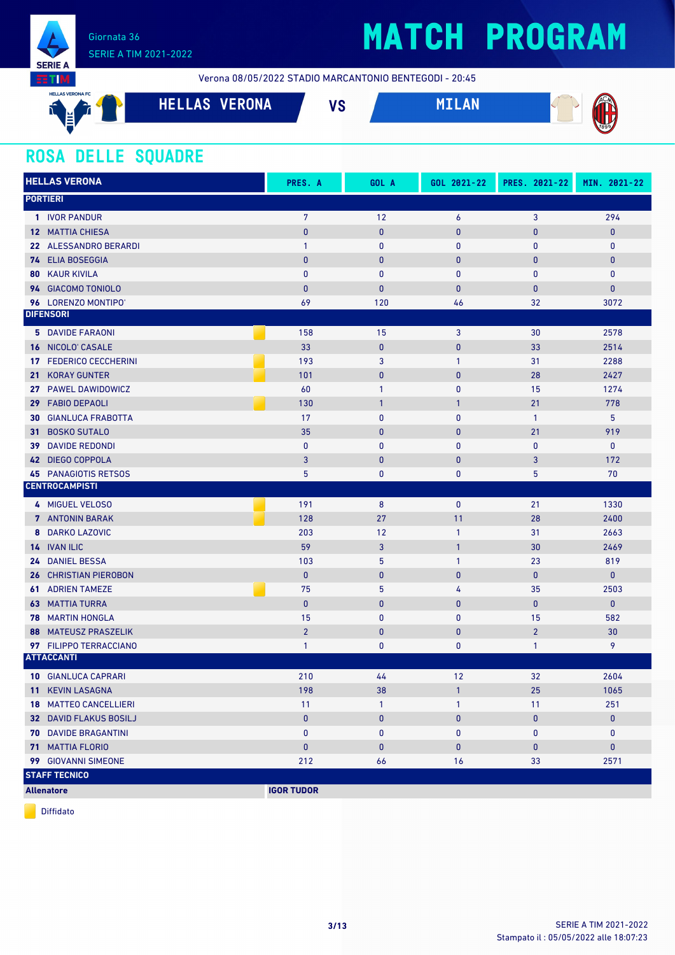

Verona 08/05/2022 STADIO MARCANTONIO BENTEGODI - 20:45

| <b>HELLAS VERONA FC</b><br>$\sim$<br>眉 | VERONA<br><b>LAS</b><br>ны | $\mathbf{u}$<br>ن / | <b>ZACAN</b> |
|----------------------------------------|----------------------------|---------------------|--------------|
|                                        |                            |                     | 1899         |

### **ROSA DELLE SQUADRE**

| <b>HELLAS VERONA</b>             | PRES. A           | GOL A        | GOL 2021-22  | PRES. 2021-22  | MIN. 2021-22 |
|----------------------------------|-------------------|--------------|--------------|----------------|--------------|
| <b>PORTIERI</b>                  |                   |              |              |                |              |
| 1 IVOR PANDUR                    | $\overline{7}$    | 12           | 6            | 3              | 294          |
| <b>12 MATTIA CHIESA</b>          | $\bf{0}$          | $\mathbf{0}$ | $\mathbf 0$  | $\bf{0}$       | $\pmb{0}$    |
| 22 ALESSANDRO BERARDI            | $\mathbf{1}$      | $\mathbf 0$  | $\mathbf 0$  | $\mathbf{0}$   | $\mathbf 0$  |
| 74 ELIA BOSEGGIA                 | $\mathbf{0}$      | $\mathbf{0}$ | $\bf{0}$     | $\bf{0}$       | $\bf{0}$     |
| <b>KAUR KIVILA</b><br>80         | $\mathbf{0}$      | $\mathbf{0}$ | $\pmb{0}$    | $\mathbf{0}$   | $\mathbf 0$  |
| 94 GIACOMO TONIOLO               | $\mathbf{0}$      | $\mathbf{0}$ | $\bf{0}$     | 0              | $\mathbf{0}$ |
| 96 LORENZO MONTIPO'              | 69                | 120          | 46           | 32             | 3072         |
| <b>DIFENSORI</b>                 |                   |              |              |                |              |
| <b>5</b> DAVIDE FARAONI          | 158               | 15           | 3            | 30             | 2578         |
| 16 NICOLO' CASALE                | 33                | $\bf{0}$     | $\pmb{0}$    | 33             | 2514         |
| <b>FEDERICO CECCHERINI</b><br>17 | 193               | $\mathbf{3}$ | 1            | 31             | 2288         |
| <b>KORAY GUNTER</b><br>21        | 101               | $\pmb{0}$    | $\bf{0}$     | 28             | 2427         |
| PAWEL DAWIDOWICZ<br>27           | 60                | $\mathbf{1}$ | 0            | 15             | 1274         |
| <b>FABIO DEPAOLI</b><br>29       | 130               | $\mathbf{1}$ | 1            | 21             | 778          |
| <b>GIANLUCA FRABOTTA</b><br>30   | 17                | $\mathbf{0}$ | $\mathbf{0}$ | $\mathbf{1}$   | 5            |
| <b>BOSKO SUTALO</b><br>31        | 35                | $\mathbf{0}$ | $\bf{0}$     | 21             | 919          |
| <b>DAVIDE REDONDI</b><br>39      | $\mathbf{0}$      | $\mathbf{0}$ | 0            | 0              | $\mathbf 0$  |
| <b>DIEGO COPPOLA</b><br>42       | 3                 | $\mathbf{0}$ | $\bf{0}$     | 3              | 172          |
| <b>PANAGIOTIS RETSOS</b><br>45   | 5                 | $\bf{0}$     | 0            | 5              | 70           |
| <b>CENTROCAMPISTI</b>            |                   |              |              |                |              |
| 4 MIGUEL VELOSO                  | 191               | 8            | $\mathbf 0$  | 21             | 1330         |
| <b>7</b> ANTONIN BARAK           | 128               | 27           | 11           | 28             | 2400         |
| <b>DARKO LAZOVIC</b><br>8        | 203               | 12           | $\mathbf{1}$ | 31             | 2663         |
| 14 IVAN ILIC                     | 59                | 3            | 1            | 30             | 2469         |
| 24 DANIEL BESSA                  | 103               | 5            | 1            | 23             | 819          |
| <b>CHRISTIAN PIEROBON</b><br>26  | $\pmb{0}$         | $\mathbf{0}$ | $\pmb{0}$    | $\bf{0}$       | $\mathbf{0}$ |
| <b>ADRIEN TAMEZE</b><br>61       | 75                | 5            | 4            | 35             | 2503         |
| 63<br><b>MATTIA TURRA</b>        | $\mathbf{0}$      | $\mathbf{0}$ | $\pmb{0}$    | $\bf{0}$       | $\bf{0}$     |
| <b>MARTIN HONGLA</b><br>78       | 15                | $\mathbf{0}$ | 0            | 15             | 582          |
| <b>MATEUSZ PRASZELIK</b><br>88   | $\overline{2}$    | $\mathbf{0}$ | $\bf{0}$     | $\overline{2}$ | 30           |
| 97 FILIPPO TERRACCIANO           | $\mathbf{1}$      | 0            | 0            | $\mathbf{1}$   | 9            |
| <b>ATTACCANTI</b>                |                   |              |              |                |              |
| <b>10 GIANLUCA CAPRARI</b>       | 210               | 44           | 12           | 32             | 2604         |
| 11 KEVIN LASAGNA                 | 198               | 38           | $\mathbf{1}$ | 25             | 1065         |
| <b>18 MATTEO CANCELLIERI</b>     | 11                | $\mathbf{1}$ | 1            | 11             | 251          |
| 32 DAVID FLAKUS BOSILJ           | $\pmb{0}$         | $\bf{0}$     | 0            | $\pmb{0}$      | $\pmb{0}$    |
| <b>70 DAVIDE BRAGANTINI</b>      | 0                 | 0            | 0            | 0              | 0            |
| <b>71 MATTIA FLORIO</b>          | $\pmb{0}$         | $\mathbf{0}$ | $\mathbf 0$  | $\pmb{0}$      | $\bf{0}$     |
| 99 GIOVANNI SIMEONE              | 212               | 66           | 16           | 33             | 2571         |
| <b>STAFF TECNICO</b>             |                   |              |              |                |              |
| <b>Allenatore</b>                | <b>IGOR TUDOR</b> |              |              |                |              |

Diffidato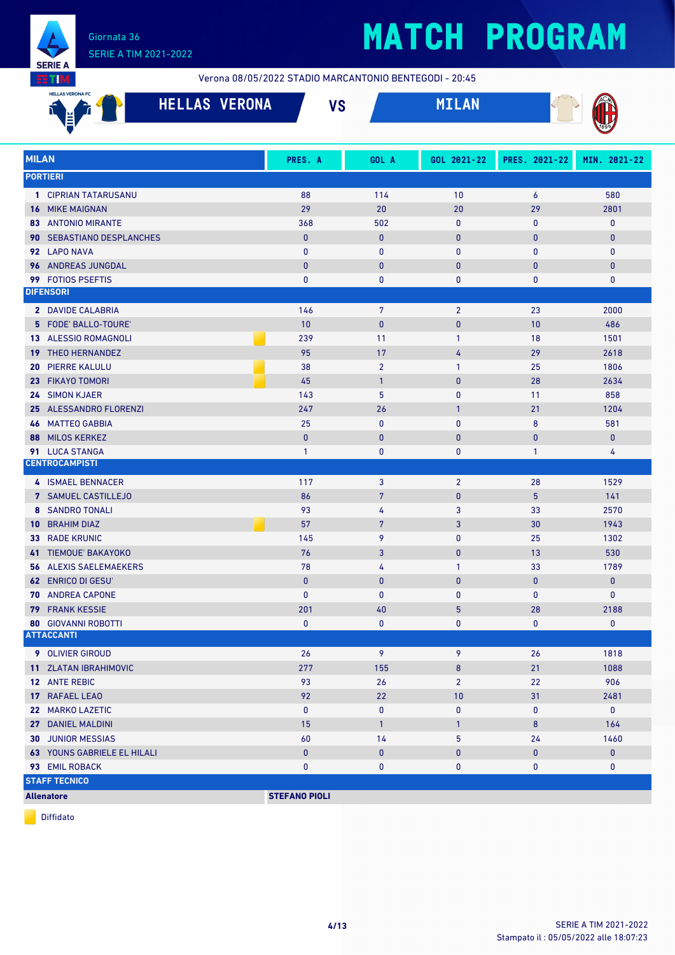

Verona 08/05/2022 STADIO MARCANTONIO BENTEGODI - 20:45

|              | <b>HELLAS VERONA FC</b><br><b>HELLAS VERONA</b> | <b>VS</b>            |                | MILAN          |                |              |
|--------------|-------------------------------------------------|----------------------|----------------|----------------|----------------|--------------|
| <b>MILAN</b> |                                                 | PRES. A              | GOL A          | GOL 2021-22    | PRES. 2021-22  | MIN. 2021-22 |
|              | <b>PORTIERI</b>                                 |                      |                |                |                |              |
|              | 1 CIPRIAN TATARUSANU                            | 88                   | 114            | 10             | 6              | 580          |
|              | <b>16 MIKE MAIGNAN</b>                          | 29                   | 20             | 20             | 29             | 2801         |
|              | <b>83 ANTONIO MIRANTE</b>                       | 368                  | 502            | 0              | $\bf{0}$       | $\mathbf 0$  |
|              | <b>90 SEBASTIANO DESPLANCHES</b>                | $\mathbf{0}$         | $\mathbf{0}$   | 0              | $\bf{0}$       | $\mathbf{0}$ |
|              | 92 LAPO NAVA                                    | $\mathbf{0}$         | $\mathbf{0}$   | 0              | $\mathbf{0}$   | $\mathbf 0$  |
|              | 96 ANDREAS JUNGDAL                              | $\mathbf{0}$         | $\mathbf{0}$   | 0              | $\bf{0}$       | $\mathbf{0}$ |
| 99           | <b>FOTIOS PSEFTIS</b>                           | 0                    | 0              | 0              | $\pmb{0}$      | $\pmb{0}$    |
|              | <b>DIFENSORI</b>                                |                      |                |                |                |              |
|              | 2 DAVIDE CALABRIA                               | 146                  | $7\phantom{.}$ | $\overline{2}$ | 23             | 2000         |
|              | 5 FODE' BALLO-TOURE'                            | 10                   | $\mathbf{0}$   | 0              | 10             | 486          |
|              | 13 ALESSIO ROMAGNOLI                            | 239                  | 11             | $\mathbf{1}$   | 18             | 1501         |
| 19           | <b>THEO HERNANDEZ</b>                           | 95                   | 17             | 4              | 29             | 2618         |
| 20           | <b>PIERRE KALULU</b>                            | 38                   | $\overline{2}$ | 1              | 25             | 1806         |
|              | 23 FIKAYO TOMORI                                | 45                   | $\mathbf{1}$   | $\bf{0}$       | 28             | 2634         |
|              | 24 SIMON KJAER                                  | 143                  | 5              | 0              | 11             | 858          |
| 25           | ALESSANDRO FLORENZI                             | 247                  | 26             | 1              | 21             | 1204         |
| 46           | <b>MATTEO GABBIA</b>                            | 25                   | 0              | 0              | 8              | 581          |
| 88           | <b>MILOS KERKEZ</b>                             | $\mathbf{0}$         | $\bf{0}$       | 0              | $\mathbf{0}$   | $\pmb{0}$    |
|              | 91 LUCA STANGA                                  | 1                    | 0              | 0              | $\mathbf{1}$   | 4            |
|              | <b>CENTROCAMPISTI</b>                           |                      |                |                |                |              |
|              | 4 ISMAEL BENNACER                               | 117                  | 3              | $\overline{2}$ | 28             | 1529         |
|              | 7 SAMUEL CASTILLEJO                             | 86                   | $\overline{7}$ | 0              | $5\phantom{.}$ | 141          |
|              | <b>8 SANDRO TONALI</b>                          | 93                   | 4              | 3              | 33             | 2570         |
| 10           | <b>BRAHIM DIAZ</b>                              | 57                   | 7              | 3              | 30             | 1943         |
| 33           | <b>RADE KRUNIC</b>                              | 145                  | 9              | 0              | 25             | 1302         |
|              | 41 TIEMOUE' BAKAYOKO                            | 76                   | 3              | 0              | 13             | 530          |
| 56.          | <b>ALEXIS SAELEMAEKERS</b>                      | 78                   | 4              | 1              | 33             | 1789         |
|              | <b>62 ENRICO DI GESU'</b>                       | $\mathbf{0}$         | 0              | 0              | $\bf{0}$       | $\mathbf{0}$ |
|              | 70 ANDREA CAPONE                                | 0                    | $\mathbf 0$    | $\pmb{0}$      | $\mathbf{0}$   | $\mathbf 0$  |
|              | <b>79 FRANK KESSIE</b>                          | 201                  | 40             | 5              | 28             | 2188         |
|              | <b>80 GIOVANNI ROBOTTI</b>                      | 0                    | 0              | 0              | 0              | 0            |
|              | <b>ATTACCANTI</b>                               |                      |                |                |                |              |
|              | 9 OLIVIER GIROUD                                | 26                   | 9              | 9              | 26             | 1818         |
|              | 11 ZLATAN IBRAHIMOVIC                           | 277                  | 155            | 8              | 21             | 1088         |
|              | 12 ANTE REBIC                                   | 93                   | 26             | $\overline{2}$ | 22             | 906          |
|              | 17 RAFAEL LEAO                                  | 92                   | 22             | 10             | 31             | 2481         |
|              | 22 MARKO LAZETIC                                | $\mathbf{0}$         | $\pmb{0}$      | 0              | $\bf{0}$       | $\mathbf{0}$ |
|              | 27 DANIEL MALDINI                               | 15                   | $\mathbf{1}$   | $\mathbf{1}$   | $\bf 8$        | 164          |
|              | <b>30 JUNIOR MESSIAS</b>                        | 60                   | 14             | 5              | 24             | 1460         |
|              | <b>63 YOUNS GABRIELE EL HILALI</b>              | $\pmb{0}$            | $\mathbf 0$    | 0              | $\bf{0}$       | $\mathbf 0$  |
|              | 93 EMIL ROBACK                                  | 0                    | 0              | 0              | 0              | 0            |
|              | <b>STAFF TECNICO</b>                            |                      |                |                |                |              |
|              | <b>Allenatore</b>                               | <b>STEFANO PIOLI</b> |                |                |                |              |

Diffidato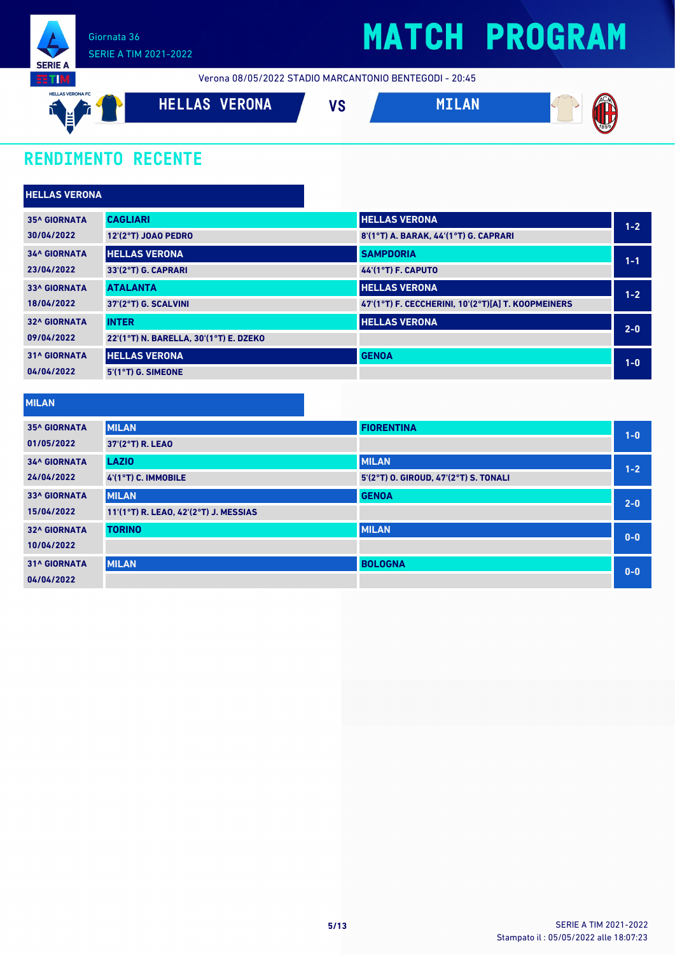

Verona 08/05/2022 STADIO MARCANTONIO BENTEGODI - 20:45



## **RENDIMENTO RECENTE**

| <b>HELLAS VERONA</b> |                                        |                                                    |         |
|----------------------|----------------------------------------|----------------------------------------------------|---------|
| <b>35^ GIORNATA</b>  | <b>CAGLIARI</b>                        | <b>HELLAS VERONA</b>                               | $1 - 2$ |
| 30/04/2022           | <b>12'(2°T) JOAO PEDRO</b>             | 8'(1°T) A. BARAK, 44'(1°T) G. CAPRARI              |         |
| <b>34^ GIORNATA</b>  | <b>HELLAS VERONA</b>                   | <b>SAMPDORIA</b>                                   | $1 - 1$ |
| 23/04/2022           | 33'(2°T) G. CAPRARI                    | <b>44'(1°T) F. CAPUTO</b>                          |         |
| <b>33^ GIORNATA</b>  | <b>ATALANTA</b>                        | <b>HELLAS VERONA</b>                               | $1 - 2$ |
| 18/04/2022           | 37'(2°T) G. SCALVINI                   | 47'(1°T) F. CECCHERINI, 10'(2°T)[A] T. KOOPMEINERS |         |
| <b>32^ GIORNATA</b>  | <b>INTER</b>                           | <b>HELLAS VERONA</b>                               | $2-0$   |
| 09/04/2022           | 22'(1°T) N. BARELLA, 30'(1°T) E. DZEKO |                                                    |         |
| <b>31^ GIORNATA</b>  | <b>HELLAS VERONA</b>                   | <b>GENOA</b>                                       | $1-0$   |
| 04/04/2022           | 5'(1°T) G. SIMEONE                     |                                                    |         |

**MILAN**

| .                   |                                       |                                       |         |
|---------------------|---------------------------------------|---------------------------------------|---------|
| <b>35^ GIORNATA</b> | <b>MILAN</b>                          | <b>FIORENTINA</b>                     | $1 - 0$ |
| 01/05/2022          | 37'(2°T) R. LEAO                      |                                       |         |
| <b>34^ GIORNATA</b> | <b>LAZIO</b>                          | <b>MILAN</b>                          | $1 - 2$ |
| 24/04/2022          | 4'(1°T) C. IMMOBILE                   | 5'(2°T) O. GIROUD, 47'(2°T) S. TONALI |         |
| <b>33^ GIORNATA</b> | <b>MILAN</b>                          | <b>GENOA</b>                          | $2 - 0$ |
| 15/04/2022          | 11'(1°T) R. LEAO, 42'(2°T) J. MESSIAS |                                       |         |
| <b>32^ GIORNATA</b> | <b>TORINO</b>                         | <b>MILAN</b>                          | $0 - 0$ |
| 10/04/2022          |                                       |                                       |         |
| <b>31^ GIORNATA</b> | <b>MILAN</b>                          | <b>BOLOGNA</b>                        | $0 - 0$ |
| 04/04/2022          |                                       |                                       |         |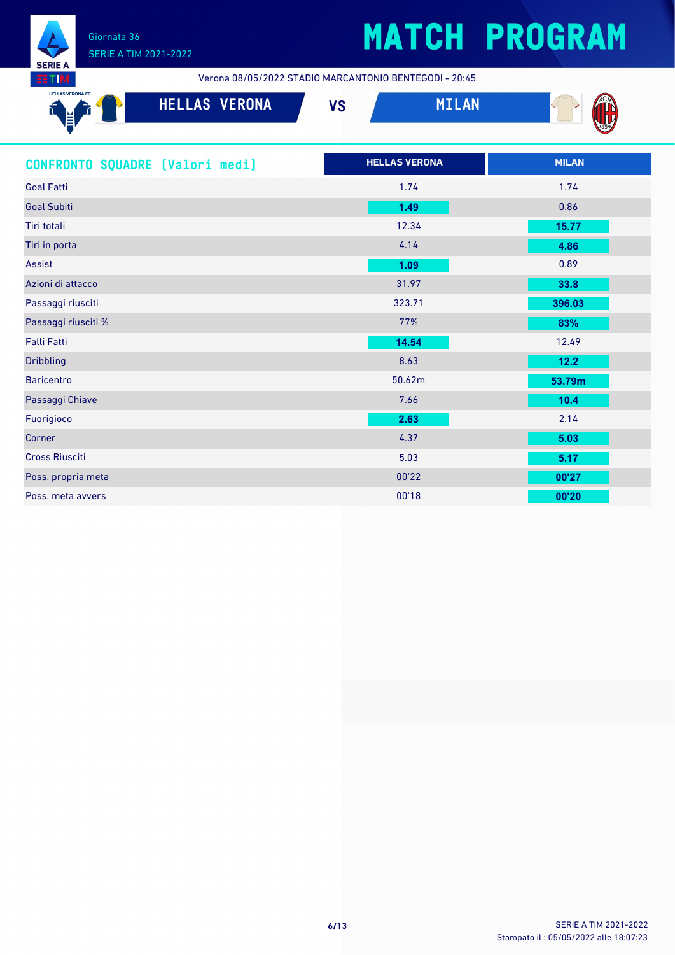

Verona 08/05/2022 STADIO MARCANTONIO BENTEGODI - 20:45

| <b>HELLAS VERONA FC</b><br>$\sim$<br>l≝Γ<br>∸ | VERONA<br><b>HELLAS</b> | 110<br>v c | 'л(  |
|-----------------------------------------------|-------------------------|------------|------|
| $\overline{\phantom{a}}$                      |                         |            | 1899 |

| CONFRONTO SQUADRE [Valori medi] | <b>HELLAS VERONA</b> | <b>MILAN</b> |
|---------------------------------|----------------------|--------------|
| <b>Goal Fatti</b>               | 1.74                 | 1.74         |
| <b>Goal Subiti</b>              | 1.49                 | 0.86         |
| Tiri totali                     | 12.34                | 15.77        |
| Tiri in porta                   | 4.14                 | 4.86         |
| Assist                          | 1.09                 | 0.89         |
| Azioni di attacco               | 31.97                | 33.8         |
| Passaggi riusciti               | 323.71               | 396.03       |
| Passaggi riusciti %             | 77%                  | 83%          |
| <b>Falli Fatti</b>              | 14.54                | 12.49        |
| <b>Dribbling</b>                | 8.63                 | $12.2$       |
| <b>Baricentro</b>               | 50.62m               | 53.79m       |
| Passaggi Chiave                 | 7.66                 | 10.4         |
| Fuorigioco                      | 2.63                 | 2.14         |
| Corner                          | 4.37                 | 5.03         |
| <b>Cross Riusciti</b>           | 5.03                 | 5.17         |
| Poss. propria meta              | 00'22                | 00'27        |
| Poss. meta avvers               | 00'18                | 00'20        |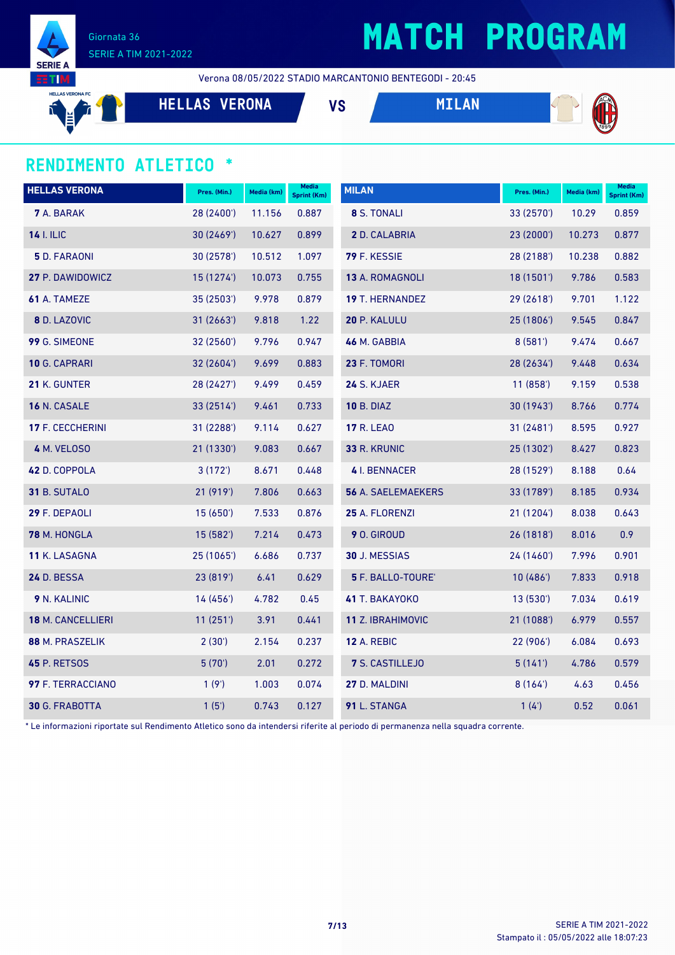

## **MATCH PROGRAM**

Verona 08/05/2022 STADIO MARCANTONIO BENTEGODI - 20:45

HELLAS VERONA FO

**HELLAS VERONA VS MILAN**





### **RENDIMENTO ATLETICO \***

| <b>HELLAS VERONA</b>    | Pres. (Min.) | Media (km) | Media<br><b>Sprint (Km)</b> | <b>MILAN</b>              | Pres. (Min.) | Media (km) | <b>Media</b><br>Sprint (Km) |
|-------------------------|--------------|------------|-----------------------------|---------------------------|--------------|------------|-----------------------------|
| <b>7</b> A. BARAK       | 28 (2400')   | 11.156     | 0.887                       | 8 S. TONALI               | 33 (2570')   | 10.29      | 0.859                       |
| <b>14 I. ILIC</b>       | 30(2469)     | 10.627     | 0.899                       | 2 D. CALABRIA             | 23 (2000')   | 10.273     | 0.877                       |
| <b>5</b> D. FARAONI     | 30(2578)     | 10.512     | 1.097                       | 79 F. KESSIE              | 28 (2188')   | 10.238     | 0.882                       |
| 27 P. DAWIDOWICZ        | 15 (1274')   | 10.073     | 0.755                       | 13 A. ROMAGNOLI           | 18 (1501')   | 9.786      | 0.583                       |
| 61 A. TAMEZE            | 35 (2503')   | 9.978      | 0.879                       | <b>19 T. HERNANDEZ</b>    | 29(2618)     | 9.701      | 1.122                       |
| 8 D. LAZOVIC            | 31(2663)     | 9.818      | 1.22                        | 20 P. KALULU              | 25(1806)     | 9.545      | 0.847                       |
| 99 G. SIMEONE           | 32 (2560')   | 9.796      | 0.947                       | 46 M. GABBIA              | 8(581)       | 9.474      | 0.667                       |
| 10 G. CAPRARI           | 32 (2604')   | 9.699      | 0.883                       | 23 F. TOMORI              | 28 (2634')   | 9.448      | 0.634                       |
| 21 K. GUNTER            | 28 (2427')   | 9.499      | 0.459                       | 24 S. KJAER               | 11(858)      | 9.159      | 0.538                       |
| 16 N. CASALE            | 33 (2514')   | 9.461      | 0.733                       | <b>10 B. DIAZ</b>         | 30 (1943')   | 8.766      | 0.774                       |
| <b>17 F. CECCHERINI</b> | 31 (2288')   | 9.114      | 0.627                       | <b>17 R. LEAO</b>         | 31(2481)     | 8.595      | 0.927                       |
| 4 M. VELOSO             | 21 (1330')   | 9.083      | 0.667                       | 33 R. KRUNIC              | 25 (1302')   | 8.427      | 0.823                       |
| 42 D. COPPOLA           | 3(172)       | 8.671      | 0.448                       | 4 I. BENNACER             | 28 (1529')   | 8.188      | 0.64                        |
| 31 B. SUTALO            | 21 (919')    | 7.806      | 0.663                       | <b>56 A. SAELEMAEKERS</b> | 33 (1789')   | 8.185      | 0.934                       |
| 29 F. DEPAOLI           | 15(650)      | 7.533      | 0.876                       | 25 A. FLORENZI            | 21(1204)     | 8.038      | 0.643                       |
| 78 M. HONGLA            | 15 (582')    | 7.214      | 0.473                       | 9 O. GIROUD               | 26 (1818')   | 8.016      | 0.9                         |
| 11 K. LASAGNA           | 25 (1065')   | 6.686      | 0.737                       | 30 J. MESSIAS             | 24 (1460')   | 7.996      | 0.901                       |
| 24 D. BESSA             | 23 (819')    | 6.41       | 0.629                       | 5 F. BALLO-TOURE'         | 10(486)      | 7.833      | 0.918                       |
| 9 N. KALINIC            | 14(456)      | 4.782      | 0.45                        | 41 T. BAKAYOKO            | 13(530)      | 7.034      | 0.619                       |
| 18 M. CANCELLIERI       | 11(251)      | 3.91       | 0.441                       | 11 Z. IBRAHIMOVIC         | 21 (1088')   | 6.979      | 0.557                       |
| 88 M. PRASZELIK         | 2(30')       | 2.154      | 0.237                       | <b>12 A. REBIC</b>        | 22 (906')    | 6.084      | 0.693                       |
| <b>45 P. RETSOS</b>     | 5(70)        | 2.01       | 0.272                       | 7 S. CASTILLEJO           | 5(141)       | 4.786      | 0.579                       |
| 97 F. TERRACCIANO       | 1(9')        | 1.003      | 0.074                       | 27 D. MALDINI             | 8(164)       | 4.63       | 0.456                       |
| 30 G. FRABOTTA          | 1(5')        | 0.743      | 0.127                       | 91 L. STANGA              | 1(4')        | 0.52       | 0.061                       |

\* Le informazioni riportate sul Rendimento Atletico sono da intendersi riferite al periodo di permanenza nella squadra corrente.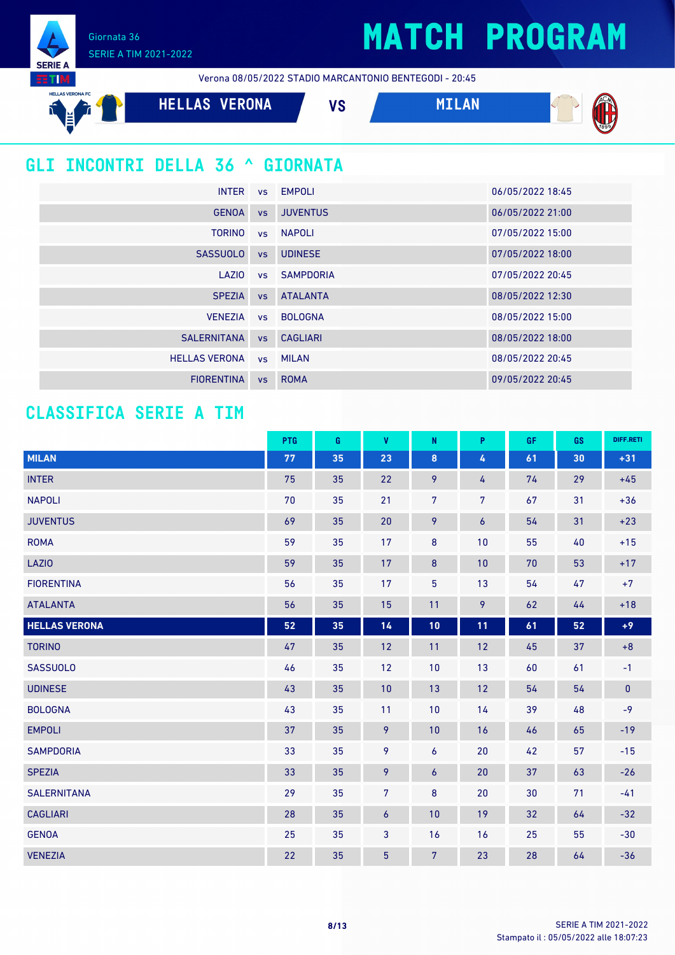Giornata 36 SERIE A TIM 2021-2022

**SERIE A** 

Verona 08/05/2022 STADIO MARCANTONIO BENTEGODI - 20:45





### **GLI INCONTRI DELLA 36 ^ GIORNATA**

|                      |           | INTER vs EMPOLI     | 06/05/2022 18:45 |
|----------------------|-----------|---------------------|------------------|
| <b>GENOA</b>         | VS        | <b>JUVENTUS</b>     | 06/05/2022 21:00 |
| <b>TORINO</b>        |           | vs NAPOLI           | 07/05/2022 15:00 |
| <b>SASSUOLO</b>      |           | vs UDINESE          | 07/05/2022 18:00 |
| LAZIO                |           | <b>vs</b> SAMPDORIA | 07/05/2022 20:45 |
| <b>SPEZIA</b>        |           | <b>vs</b> ATALANTA  | 08/05/2022 12:30 |
| <b>VENEZIA</b>       |           | vs BOLOGNA          | 08/05/2022 15:00 |
| <b>SALERNITANA</b>   |           | vs CAGLIARI         | 08/05/2022 18:00 |
| <b>HELLAS VERONA</b> |           | vs MILAN            | 08/05/2022 20:45 |
| <b>FIORENTINA</b>    | <b>VS</b> | <b>ROMA</b>         | 09/05/2022 20:45 |

### **CLASSIFICA SERIE A TIM**

|                      | PTG        | G  | $\pmb{\mathsf{V}}$ | N                | P                | GF | GS | DIFF.RETI |
|----------------------|------------|----|--------------------|------------------|------------------|----|----|-----------|
| <b>MILAN</b>         | ${\bf 77}$ | 35 | 23                 | $\pmb{8}$        | $\pmb{4}$        | 61 | 30 | $+31$     |
| <b>INTER</b>         | 75         | 35 | 22                 | 9                | 4                | 74 | 29 | $+45$     |
| <b>NAPOLI</b>        | 70         | 35 | 21                 | $\overline{7}$   | $\overline{7}$   | 67 | 31 | $+36$     |
| <b>JUVENTUS</b>      | 69         | 35 | 20                 | 9                | $\boldsymbol{6}$ | 54 | 31 | $+23$     |
| <b>ROMA</b>          | 59         | 35 | 17                 | 8                | 10               | 55 | 40 | $+15$     |
| LAZIO                | 59         | 35 | 17                 | $\bf{8}$         | 10               | 70 | 53 | $+17$     |
| <b>FIORENTINA</b>    | 56         | 35 | 17                 | $\overline{5}$   | 13               | 54 | 47 | $+7$      |
| <b>ATALANTA</b>      | 56         | 35 | 15                 | 11               | 9                | 62 | 44 | $+18$     |
| <b>HELLAS VERONA</b> | 52         | 35 | 14                 | 10               | 11               | 61 | 52 | $+9$      |
| <b>TORINO</b>        | 47         | 35 | 12                 | 11               | 12               | 45 | 37 | $+8$      |
| <b>SASSUOLO</b>      | 46         | 35 | 12                 | 10               | 13               | 60 | 61 | $-1$      |
| <b>UDINESE</b>       | 43         | 35 | 10                 | 13               | 12               | 54 | 54 | $\pmb{0}$ |
| <b>BOLOGNA</b>       | 43         | 35 | 11                 | 10               | 14               | 39 | 48 | $-9$      |
| <b>EMPOLI</b>        | 37         | 35 | 9                  | 10               | 16               | 46 | 65 | $-19$     |
| <b>SAMPDORIA</b>     | 33         | 35 | 9                  | 6                | 20               | 42 | 57 | $-15$     |
| <b>SPEZIA</b>        | 33         | 35 | 9                  | $\boldsymbol{6}$ | 20               | 37 | 63 | $-26$     |
| <b>SALERNITANA</b>   | 29         | 35 | $\overline{7}$     | $\bf 8$          | 20               | 30 | 71 | $-41$     |
| <b>CAGLIARI</b>      | 28         | 35 | 6                  | 10               | 19               | 32 | 64 | $-32$     |
| <b>GENOA</b>         | 25         | 35 | 3                  | 16               | 16               | 25 | 55 | $-30$     |
| <b>VENEZIA</b>       | 22         | 35 | $\overline{5}$     | $7\phantom{.}$   | 23               | 28 | 64 | $-36$     |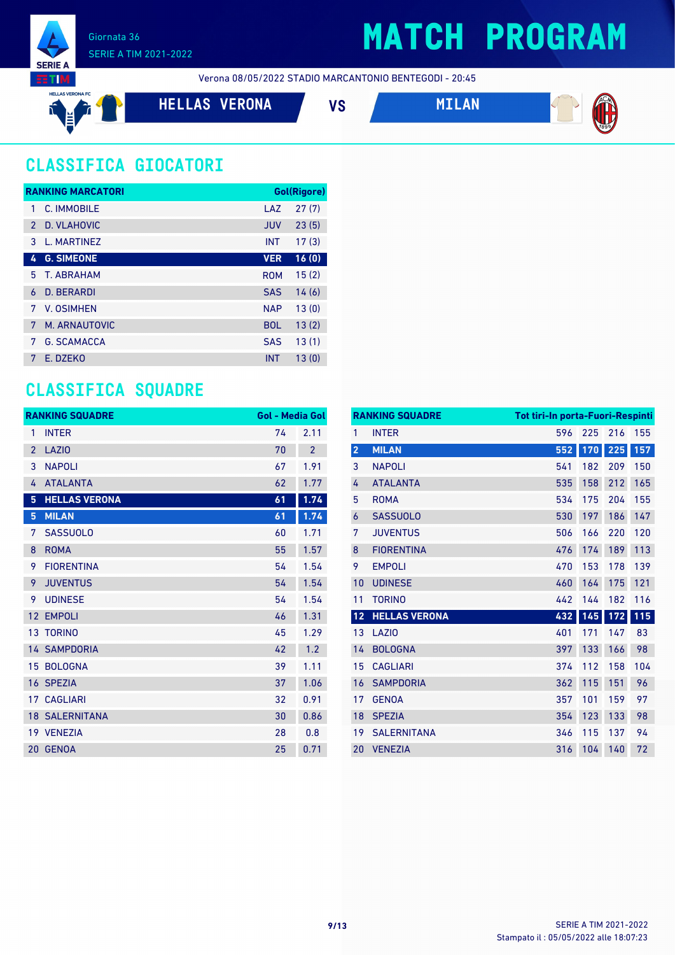

## **MATCH PROGRAM**

Verona 08/05/2022 STADIO MARCANTONIO BENTEGODI - 20:45

**HELLAS VERONA VS MILAN**





## **CLASSIFICA GIOCATORI**

| <b>RANKING MARCATORI</b> |                    |            | <b>Gol(Rigore)</b> |  |
|--------------------------|--------------------|------------|--------------------|--|
| 1                        | C. IMMOBILE        | LAZ        | 27(7)              |  |
| $\mathcal{P}$            | D. VLAHOVIC        | <b>JUV</b> | 23(5)              |  |
| 3                        | L. MARTINEZ        | <b>INT</b> | 17(3)              |  |
| 4                        | <b>G. SIMEONE</b>  | <b>VER</b> | 16(0)              |  |
| 5.                       | <b>T. ABRAHAM</b>  | <b>ROM</b> | 15(2)              |  |
| 6                        | <b>D. BERARDI</b>  | <b>SAS</b> | 14(6)              |  |
| 7                        | V. OSIMHEN         | <b>NAP</b> | 13(0)              |  |
| 7                        | M. ARNAUTOVIC      | <b>BOL</b> | 13(2)              |  |
| 7                        | <b>G. SCAMACCA</b> | <b>SAS</b> | 13(1)              |  |
| 7                        | F. DZFKO           | <b>INT</b> | 13(0)              |  |

### **CLASSIFICA SQUADRE**

|                 | <b>RANKING SQUADRE</b> | <b>Gol - Media Gol</b> |                |
|-----------------|------------------------|------------------------|----------------|
| $\mathbf{1}$    | <b>INTER</b>           | 74                     | 2.11           |
| $\overline{2}$  | <b>LAZIO</b>           | 70                     | $\overline{2}$ |
| 3               | <b>NAPOLI</b>          | 67                     | 1.91           |
| 4               | <b>ATALANTA</b>        | 62                     | 1.77           |
| 5               | <b>HELLAS VERONA</b>   | 61                     | 1.74           |
| 5               | <b>MILAN</b>           | 61                     | 1.74           |
| 7               | <b>SASSUOLO</b>        | 60                     | 1.71           |
| 8               | <b>ROMA</b>            | 55                     | 1.57           |
| 9               | <b>FIORENTINA</b>      | 54                     | 1.54           |
| 9               | <b>JUVENTUS</b>        | 54                     | 1.54           |
| 9               | <b>UDINESE</b>         | 54                     | 1.54           |
| 12              | <b>EMPOLI</b>          | 46                     | 1.31           |
| 13 <sup>°</sup> | <b>TORINO</b>          | 45                     | 1.29           |
|                 | <b>14 SAMPDORIA</b>    | 42                     | 1.2            |
|                 | 15 BOLOGNA             | 39                     | 1.11           |
|                 | 16 SPEZIA              | 37                     | 1.06           |
|                 | <b>17 CAGLIARI</b>     | 32                     | 0.91           |
|                 | <b>18 SALERNITANA</b>  | 30                     | 0.86           |
|                 | 19 VENEZIA             | 28                     | 0.8            |
| 20              | <b>GENOA</b>           | 25                     | 0.71           |

|                         | <b>RANKING SQUADRE</b> | <b>Tot tiri-In porta-Fuori-Respinti</b> |     |     |     |
|-------------------------|------------------------|-----------------------------------------|-----|-----|-----|
| 1                       | <b>INTER</b>           | 596                                     | 225 | 216 | 155 |
| $\overline{\mathbf{2}}$ | <b>MILAN</b>           | 552                                     | 170 | 225 | 157 |
| 3                       | <b>NAPOLI</b>          | 541                                     | 182 | 209 | 150 |
| 4                       | <b>ATALANTA</b>        | 535                                     | 158 | 212 | 165 |
| 5                       | <b>ROMA</b>            | 534                                     | 175 | 204 | 155 |
| 6                       | <b>SASSUOLO</b>        | 530                                     | 197 | 186 | 147 |
| 7                       | <b>JUVENTUS</b>        | 506                                     | 166 | 220 | 120 |
| 8                       | <b>FIORENTINA</b>      | 476                                     | 174 | 189 | 113 |
| 9                       | <b>EMPOLI</b>          | 470                                     | 153 | 178 | 139 |
| 10                      | <b>UDINESE</b>         | 460                                     | 164 | 175 | 121 |
| 11                      | <b>TORINO</b>          | 442                                     | 144 | 182 | 116 |
| 12                      | <b>HELLAS VERONA</b>   | 432                                     | 145 | 172 | 115 |
| 13                      | <b>LAZIO</b>           | 401                                     | 171 | 147 | 83  |
| 14                      | <b>BOLOGNA</b>         | 397                                     | 133 | 166 | 98  |
| 15                      | <b>CAGLIARI</b>        | 374                                     | 112 | 158 | 104 |
| 16                      | <b>SAMPDORIA</b>       | 362                                     | 115 | 151 | 96  |
| 17                      | <b>GENOA</b>           | 357                                     | 101 | 159 | 97  |
| 18                      | <b>SPEZIA</b>          | 354                                     | 123 | 133 | 98  |
| 19                      | <b>SALERNITANA</b>     | 346                                     | 115 | 137 | 94  |
| 20                      | <b>VENEZIA</b>         | 316                                     | 104 | 140 | 72  |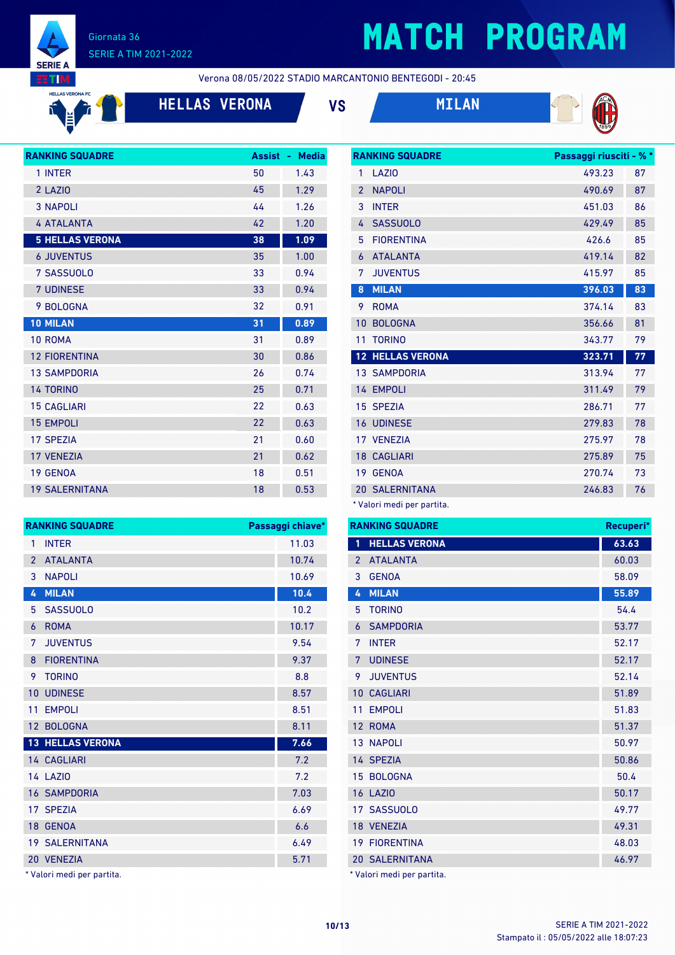

 $f$ 

#### Giornata 36 SERIE A TIM 2021-2022

# **MATCH PROGRAM**

**RANKING SQUADRE Passaggi riusciti - % \***

**EETIM HELLAS VERONA FC** AS VERONA FC Verona 08/05/2022 STADIO MARCANTONIO BENTEGODI - 20:45

**HELLAS VERONA VS MILAN**





| <b>RANKING SQUADRE</b> | <b>Assist</b> | <b>Media</b><br>٠ |
|------------------------|---------------|-------------------|
| 1 INTER                | 50            | 1.43              |
| 2 LAZIO                | 45            | 1.29              |
| <b>3 NAPOLI</b>        | 44            | 1.26              |
| <b>4 ATALANTA</b>      | 42            | 1.20              |
| <b>5 HELLAS VERONA</b> | 38            | 1.09              |
| <b>6 JUVENTUS</b>      | 35            | 1.00              |
| 7 SASSUOLO             | 33            | 0.94              |
| <b>7 UDINESE</b>       | 33            | 0.94              |
| 9 BOLOGNA              | 32            | 0.91              |
| <b>10 MILAN</b>        | 31            | 0.89              |
| 10 ROMA                | 31            | 0.89              |
| <b>12 FIORENTINA</b>   | 30            | 0.86              |
| <b>13 SAMPDORIA</b>    | 26            | 0.74              |
| <b>14 TORINO</b>       | 25            | 0.71              |
| <b>15 CAGLIARI</b>     | 22            | 0.63              |
| <b>15 EMPOLI</b>       | 22            | 0.63              |
| <b>17 SPEZIA</b>       | 21            | 0.60              |
| <b>17 VENEZIA</b>      | 21            | 0.62              |
| 19 GENOA               | 18            | 0.51              |
| <b>19 SALERNITANA</b>  | 18            | 0.53              |

| 1                        | LAZI <sub>0</sub>       | 493.23 | 87 |
|--------------------------|-------------------------|--------|----|
| $\overline{\phantom{a}}$ | <b>NAPOLI</b>           | 490.69 | 87 |
| 3                        | <b>INTER</b>            | 451.03 | 86 |
| 4                        | <b>SASSUOLO</b>         | 429.49 | 85 |
| 5                        | <b>FIORENTINA</b>       | 426.6  | 85 |
| 6                        | <b>ATALANTA</b>         | 419.14 | 82 |
| 7                        | <b>JUVENTUS</b>         | 415.97 | 85 |
| 8                        | <b>MILAN</b>            | 396.03 | 83 |
| 9                        | <b>ROMA</b>             | 374.14 | 83 |
| 10                       | <b>BOLOGNA</b>          | 356.66 | 81 |
|                          |                         |        |    |
| 11                       | <b>TORINO</b>           | 343.77 | 79 |
|                          | <b>12 HELLAS VERONA</b> | 323.71 | 77 |
|                          | <b>13 SAMPDORIA</b>     | 313.94 | 77 |
|                          | 14 EMPOLI               | 311.49 | 79 |
| 15                       | <b>SPEZIA</b>           | 286.71 | 77 |
| 16                       | <b>UDINESE</b>          | 279.83 | 78 |
|                          | 17 VENEZIA              | 275.97 | 78 |
| 18                       | <b>CAGLIARI</b>         | 275.89 | 75 |
| 19                       | <b>GENOA</b>            | 270.74 | 73 |
| 20                       | <b>SALERNITANA</b>      | 246.83 | 76 |

\* Valori medi per partita.

| <b>RANKING SQUADRE</b> |                                                                                                                                                                                  | RA               |
|------------------------|----------------------------------------------------------------------------------------------------------------------------------------------------------------------------------|------------------|
| <b>INTER</b>           | 11.03                                                                                                                                                                            | $\mathbf{1}$     |
| <b>ATALANTA</b>        | 10.74                                                                                                                                                                            | $\overline{2}$   |
| <b>NAPOLI</b>          | 10.69                                                                                                                                                                            | 3                |
| <b>MILAN</b>           | 10.4                                                                                                                                                                             | 4                |
| <b>SASSUOLO</b>        | 10.2                                                                                                                                                                             | 5                |
| <b>ROMA</b>            | 10.17                                                                                                                                                                            | 6                |
| <b>JUVENTUS</b>        | 9.54                                                                                                                                                                             | 7                |
| <b>FIORENTINA</b>      | 9.37                                                                                                                                                                             | $\overline{7}$   |
| <b>TORINO</b>          | 8.8                                                                                                                                                                              | 9                |
|                        | 8.57                                                                                                                                                                             | 1 <sub>0</sub>   |
| <b>EMPOLI</b>          | 8.51                                                                                                                                                                             | 11               |
|                        | 8.11                                                                                                                                                                             | 12               |
|                        | 7.66                                                                                                                                                                             | 13               |
|                        | 7.2                                                                                                                                                                              | 11               |
|                        | 7.2                                                                                                                                                                              | 15               |
|                        | 7.03                                                                                                                                                                             | 16               |
|                        | 6.69                                                                                                                                                                             | 17               |
|                        | 6.6                                                                                                                                                                              | 18               |
|                        | 6.49                                                                                                                                                                             | 19               |
|                        | 5.71                                                                                                                                                                             | $\overline{2}$ C |
|                        | <b>UDINESE</b><br>12 BOLOGNA<br><b>13 HELLAS VERONA</b><br>14 CAGLIARI<br><b>14 LAZIO</b><br><b>16 SAMPDORIA</b><br>17 SPEZIA<br>18 GENOA<br><b>19 SALERNITANA</b><br>20 VENEZIA | Passaggi chiave* |

\* Valori medi per partita.

| <b>RANKING SQUADRE</b><br>Recuperi*           |       |  |  |
|-----------------------------------------------|-------|--|--|
| $\mathbf{1}$<br><b>HELLAS VERONA</b><br>63.63 |       |  |  |
| 60.03<br><b>ATALANTA</b><br>$\overline{2}$    |       |  |  |
| <b>GENOA</b><br>3<br>58.09                    |       |  |  |
| <b>MILAN</b><br>4                             | 55.89 |  |  |
| <b>TORINO</b><br>5<br>54.4                    |       |  |  |
| <b>SAMPDORIA</b><br>53.77<br>6                |       |  |  |
| 7<br><b>INTER</b><br>52.17                    |       |  |  |
| <b>UDINESE</b><br>52.17<br>7                  |       |  |  |
| <b>JUVENTUS</b><br>9<br>52.14                 |       |  |  |
| <b>CAGLIARI</b><br>51.89<br>10                |       |  |  |
| 11<br><b>EMPOLI</b><br>51.83                  |       |  |  |
| <b>ROMA</b><br>51.37<br>12 <sup>2</sup>       |       |  |  |
| <b>13 NAPOLI</b><br>50.97                     |       |  |  |
| 14 SPEZIA<br>50.86                            |       |  |  |
| <b>BOLOGNA</b><br>50.4<br>$15-1$              |       |  |  |
| <b>16 LAZIO</b><br>50.17                      |       |  |  |
| 17 SASSUOLO<br>49.77                          |       |  |  |
| 18 VENEZIA<br>49.31                           |       |  |  |
| <b>19 FIORENTINA</b><br>48.03                 |       |  |  |
| <b>20 SALERNITANA</b><br>46.97                |       |  |  |

\* Valori medi per partita.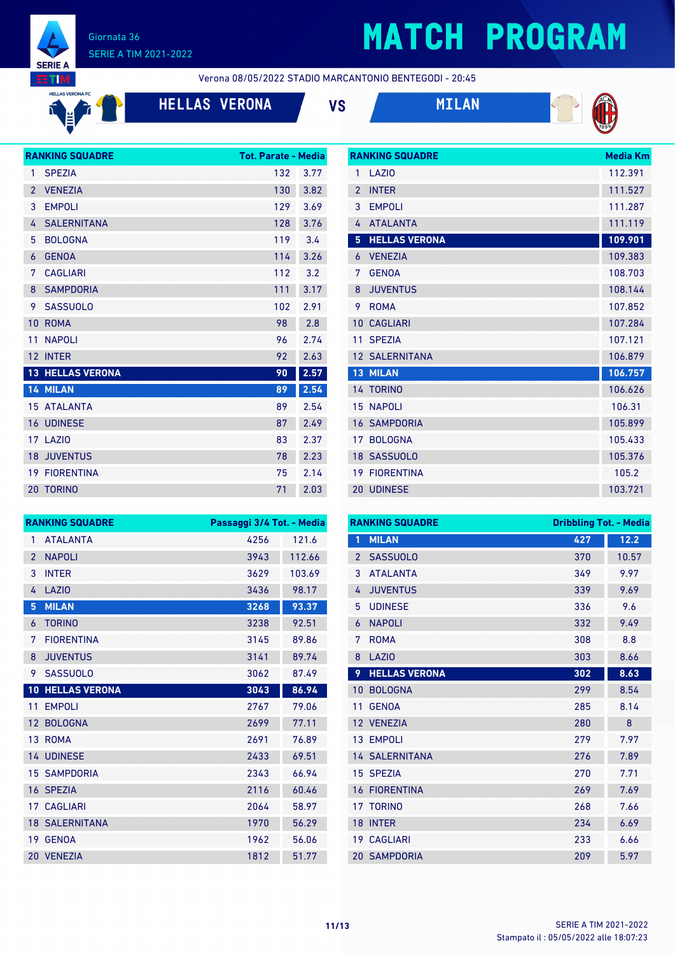

**HELLAS VERONA FC**  $\mathbf{f}$ 

**Fri** Ě

#### Giornata 36 SERIE A TIM 2021-2022

## **MATCH PROGRAM**

**RANKING SQUADRE Media Km** 

Verona 08/05/2022 STADIO MARCANTONIO BENTEGODI - 20:45

**HELLAS VERONA VS MILAN**





|                | <b>RANKING SQUADRE</b> | <b>Tot. Parate - Media</b> |      |
|----------------|------------------------|----------------------------|------|
| 1              | <b>SPEZIA</b>          | 132                        | 3.77 |
| $\overline{2}$ | <b>VENEZIA</b>         | 130                        | 3.82 |
| 3              | <b>EMPOLI</b>          | 129                        | 3.69 |
| 4              | <b>SALERNITANA</b>     | 128                        | 3.76 |
| 5              | <b>BOLOGNA</b>         | 119                        | 3.4  |
| 6              | <b>GENOA</b>           | 114                        | 3.26 |
| 7              | <b>CAGLIARI</b>        | 112                        | 3.2  |
| 8              | <b>SAMPDORIA</b>       | 111                        | 3.17 |
| 9              | <b>SASSUOLO</b>        | 102                        | 2.91 |
| 10             | <b>ROMA</b>            | 98                         | 2.8  |
| 11             | <b>NAPOLI</b>          | 96                         | 2.74 |
| 12             | <b>INTER</b>           | 92                         | 2.63 |
| 13             | <b>HELLAS VERONA</b>   | 90                         | 2.57 |
|                | 14 MILAN               | 89                         | 2.54 |
|                | 15 ATALANTA            | 89                         | 2.54 |
| 16             | <b>UDINESE</b>         | 87                         | 2.49 |
| 17             | LAZI <sub>0</sub>      | 83                         | 2.37 |
| 18             | <b>JUVENTUS</b>        | 78                         | 2.23 |
|                | <b>19 FIORENTINA</b>   | 75                         | 2.14 |
|                | <b>20 TORINO</b>       | 71                         | 2.03 |

| 1              | LAZIO                 | 112.391 |
|----------------|-----------------------|---------|
| $\mathfrak{p}$ | <b>INTER</b>          | 111.527 |
| 3              | <b>EMPOLI</b>         | 111.287 |
| 4              | <b>ATALANTA</b>       | 111.119 |
| 5              | <b>HELLAS VERONA</b>  | 109.901 |
| 6              | <b>VENEZIA</b>        | 109.383 |
| 7              | <b>GENOA</b>          | 108.703 |
| 8              | <b>JUVENTUS</b>       | 108.144 |
| 9              | <b>ROMA</b>           | 107.852 |
| 10             | <b>CAGLIARI</b>       | 107.284 |
|                |                       |         |
| 11             | <b>SPEZIA</b>         | 107.121 |
|                | <b>12 SALERNITANA</b> | 106.879 |
| 13             | <b>MILAN</b>          | 106.757 |
|                | 14 TORINO             | 106.626 |
| 15             | <b>NAPOLI</b>         | 106.31  |
|                | <b>16 SAMPDORIA</b>   | 105.899 |
| 17             | <b>BOLOGNA</b>        | 105.433 |
| 18             | <b>SASSUOLO</b>       | 105.376 |
| 19             | <b>FIORENTINA</b>     | 105.2   |

|                 | <b>RANKING SQUADRE</b> | Passaggi 3/4 Tot. - Media |        |
|-----------------|------------------------|---------------------------|--------|
| 1               | <b>ATALANTA</b>        | 4256                      | 121.6  |
| $\overline{2}$  | <b>NAPOLI</b>          | 3943                      | 112.66 |
| 3               | <b>INTER</b>           | 3629                      | 103.69 |
| 4               | LAZIO                  | 3436                      | 98.17  |
| 5               | <b>MILAN</b>           | 3268                      | 93.37  |
| 6               | <b>TORINO</b>          | 3238                      | 92.51  |
| 7               | <b>FIORENTINA</b>      | 3145                      | 89.86  |
| 8               | <b>JUVENTUS</b>        | 3141                      | 89.74  |
| 9               | <b>SASSUOLO</b>        | 3062                      | 87.49  |
| 10 <sup>°</sup> | <b>HELLAS VERONA</b>   | 3043                      | 86.94  |
| 11              | <b>EMPOLI</b>          | 2767                      | 79.06  |
| 12 <sup>2</sup> | <b>BOLOGNA</b>         | 2699                      | 77.11  |
|                 | 13 ROMA                | 2691                      | 76.89  |
|                 | <b>14 UDINESE</b>      | 2433                      | 69.51  |
| 15 <sup>1</sup> | <b>SAMPDORIA</b>       | 2343                      | 66.94  |
| 16              | <b>SPEZIA</b>          | 2116                      | 60.46  |
| 17              | <b>CAGLIARI</b>        | 2064                      | 58.97  |
| 18 <sup>°</sup> | <b>SALERNITANA</b>     | 1970                      | 56.29  |
| 19              | <b>GENOA</b>           | 1962                      | 56.06  |
| 20              | <b>VENEZIA</b>         | 1812                      | 51.77  |

|                 | <b>RANKING SQUADRE</b> | <b>Dribbling Tot. - Media</b> |       |
|-----------------|------------------------|-------------------------------|-------|
| 1               | <b>MILAN</b>           | 427                           | 12.2  |
| $\overline{2}$  | <b>SASSUOLO</b>        | 370                           | 10.57 |
| 3               | <b>ATAI ANTA</b>       | 349                           | 9.97  |
| 4               | <b>JUVENTUS</b>        | 339                           | 9.69  |
| 5               | <b>UDINESE</b>         | 336                           | 9.6   |
| 6               | <b>NAPOLI</b>          | 332                           | 9.49  |
| 7               | <b>ROMA</b>            | 308                           | 8.8   |
| 8               | <b>LAZIO</b>           | 303                           | 8.66  |
| 9               | <b>HELLAS VERONA</b>   | 302                           | 8.63  |
| 10              | <b>BOLOGNA</b>         | 299                           | 8.54  |
| 11              | <b>GENOA</b>           | 285                           | 8.14  |
| 12              | <b>VENEZIA</b>         | 280                           | 8     |
| 13 <sup>°</sup> | <b>EMPOLI</b>          | 279                           | 7.97  |
|                 | <b>14 SALERNITANA</b>  | 276                           | 7.89  |
|                 | 15 SPEZIA              | 270                           | 7.71  |
| 16              | <b>FIORENTINA</b>      | 269                           | 7.69  |
| 17              | <b>TORINO</b>          | 268                           | 7.66  |
| 18              | <b>INTER</b>           | 234                           | 6.69  |
| 19              | <b>CAGLIARI</b>        | 233                           | 6.66  |
|                 | <b>20 SAMPDORIA</b>    | 209                           | 5.97  |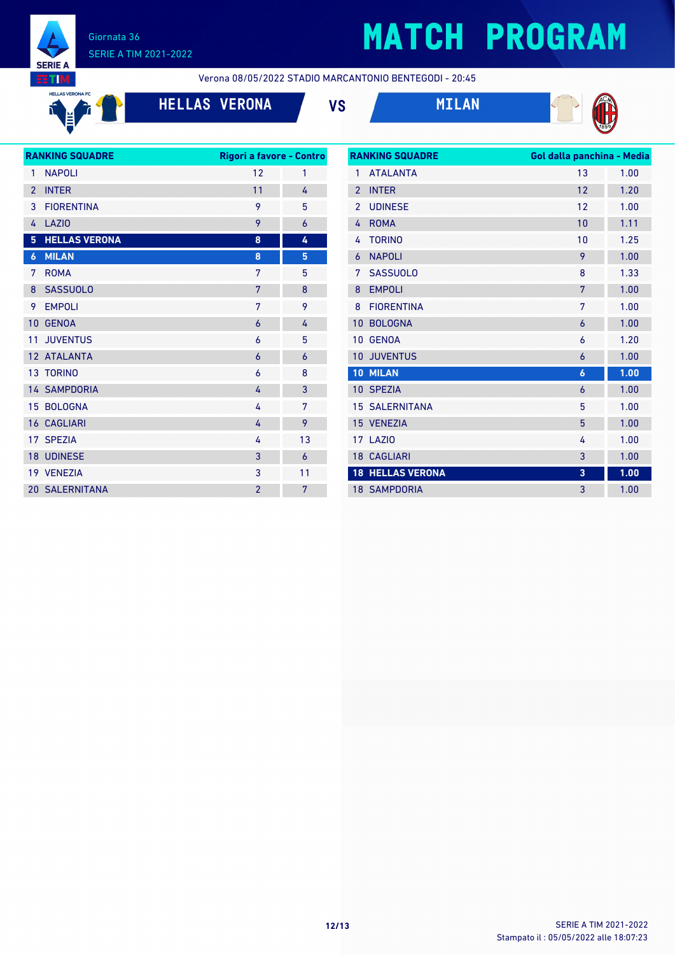

# **MATCH PROGRAM**

**EETIM HELLAS VERONA FC** 

> **Fr** Ě

 $\mathbf{f}$ 

Verona 08/05/2022 STADIO MARCANTONIO BENTEGODI - 20:45







| <b>RANKING SQUADRE</b>   |                       | Rigori a favore - Contro |    |  |
|--------------------------|-----------------------|--------------------------|----|--|
| 1                        | <b>NAPOLI</b>         | 12                       | 1  |  |
| $\overline{\phantom{0}}$ | <b>INTER</b>          | 11                       | 4  |  |
| 3                        | <b>FIORENTINA</b>     | 9                        | 5  |  |
| 4                        | <b>LAZIO</b>          | 9                        | 6  |  |
| 5                        | <b>HELLAS VERONA</b>  | 8                        | 4  |  |
| $\boldsymbol{6}$         | <b>MILAN</b>          | 8                        | 5  |  |
| 7                        | <b>ROMA</b>           | 7                        | 5  |  |
| 8                        | <b>SASSUOLO</b>       | 7                        | 8  |  |
| 9                        | <b>EMPOLI</b>         | 7                        | 9  |  |
| 10                       | <b>GENOA</b>          | $\overline{6}$           | 4  |  |
| 11                       | <b>JUVENTUS</b>       | 6                        | 5  |  |
|                          | 12 ATALANTA           | 6                        | 6  |  |
|                          | 13 TORINO             | 6                        | 8  |  |
|                          | <b>14 SAMPDORIA</b>   | 4                        | 3  |  |
|                          | 15 BOLOGNA            | 4                        | 7  |  |
|                          | <b>16 CAGLIARI</b>    | 4                        | 9  |  |
|                          | 17 SPEZIA             | 4                        | 13 |  |
|                          | <b>18 UDINESE</b>     | 3                        | 6  |  |
|                          | 19 VENEZIA            | 3                        | 11 |  |
|                          | <b>20 SALERNITANA</b> | $\overline{2}$           | 7  |  |
|                          |                       |                          |    |  |

| <b>RANKING SQUADRE</b> |                         | Gol dalla panchina - Media |      |
|------------------------|-------------------------|----------------------------|------|
| 1                      | <b>ATALANTA</b>         | 13                         | 1.00 |
| $\overline{2}$         | <b>INTER</b>            | 12                         | 1.20 |
| $\overline{2}$         | <b>UDINESE</b>          | 12                         | 1.00 |
| 4                      | <b>ROMA</b>             | 10                         | 1.11 |
| 4                      | <b>TORINO</b>           | 10                         | 1.25 |
| 6                      | <b>NAPOLI</b>           | 9                          | 1.00 |
| 7                      | <b>SASSUOLO</b>         | 8                          | 1.33 |
| 8                      | <b>EMPOLI</b>           | 7                          | 1.00 |
| 8                      | <b>FIORENTINA</b>       | 7                          | 1.00 |
| 10                     | <b>BOLOGNA</b>          | 6                          | 1.00 |
| 10                     | <b>GENOA</b>            | 6                          | 1.20 |
| 10                     | <b>JUVENTUS</b>         | 6                          | 1.00 |
|                        | 10 MILAN                | $\boldsymbol{6}$           | 1.00 |
|                        | 10 SPEZIA               | 6                          | 1.00 |
|                        | <b>15 SALERNITANA</b>   | 5                          | 1.00 |
|                        | 15 VENEZIA              | 5                          | 1.00 |
|                        | 17 LAZIO                | 4                          | 1.00 |
|                        | <b>18 CAGLIARI</b>      | 3                          | 1.00 |
|                        | <b>18 HELLAS VERONA</b> | 3                          | 1.00 |
|                        | <b>18 SAMPDORIA</b>     | 3                          | 1.00 |